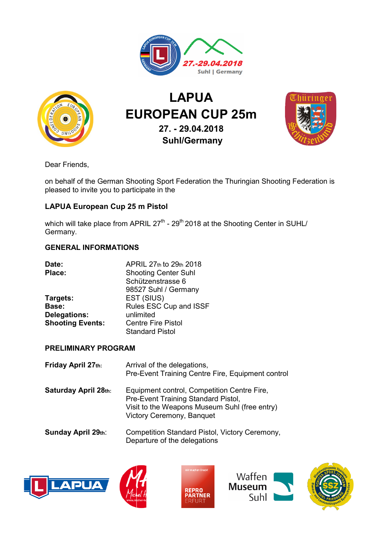



# EUROPEAN CUP 25m LAPUA 27. - 29.04.2018 Suhl/Germany



Dear Friends,

on behalf of the German Shooting Sport Federation the Thuringian Shooting Federation is pleased to invite you to participate in the on behalf of the German Shooting Sport Federation the Thuringian Shooting Fede<br>pleased to invite you to participate in the<br>**LAPUA European Cup 25 m Pistol**<br>which will take place from APRIL 27<sup>th</sup> - 29<sup>th</sup> 2018 at the Shoot

## LAPUA European Cup 25 m Pistol

Germany.

### GENERAL INFORMATIONS

| Date:                   | APRIL 27th to 29th 2018     |  |
|-------------------------|-----------------------------|--|
| Place:                  | <b>Shooting Center Suhl</b> |  |
|                         | Schützenstrasse 6           |  |
|                         | 98527 Suhl / Germany        |  |
| Targets:                | EST (SIUS)                  |  |
| Base:                   | Rules ESC Cup and ISSF      |  |
| <b>Delegations:</b>     | unlimited                   |  |
| <b>Shooting Events:</b> | <b>Centre Fire Pistol</b>   |  |
|                         | <b>Standard Pistol</b>      |  |

#### PRELIMINARY PROGRAM

| Germany.                                                            | which will take place from APRIL $27^{\circ}$ - $29^{\circ}$ 2018 at the Shooting Center in SUHL/                                                                |
|---------------------------------------------------------------------|------------------------------------------------------------------------------------------------------------------------------------------------------------------|
| <b>GENERAL INFORMATIONS</b>                                         |                                                                                                                                                                  |
| Date:<br>Place:                                                     | APRIL 27th to 29th 2018<br><b>Shooting Center Suhl</b><br>Schützenstrasse 6<br>98527 Suhl / Germany                                                              |
| Targets:<br>Base:<br><b>Delegations:</b><br><b>Shooting Events:</b> | EST (SIUS)<br>Rules ESC Cup and ISSF<br>unlimited<br><b>Centre Fire Pistol</b><br><b>Standard Pistol</b>                                                         |
| <b>PRELIMINARY PROGRAM</b>                                          |                                                                                                                                                                  |
| Friday April 27th:                                                  | Arrival of the delegations,<br>Pre-Event Training Centre Fire, Equipment control                                                                                 |
| <b>Saturday April 28th:</b>                                         | Equipment control, Competition Centre Fire,<br>Pre-Event Training Standard Pistol,<br>Visit to the Weapons Museum Suhl (free entry)<br>Victory Ceremony, Banquet |
| <b>Sunday April 29th:</b>                                           | Competition Standard Pistol, Victory Ceremony,<br>Departure of the delegations                                                                                   |









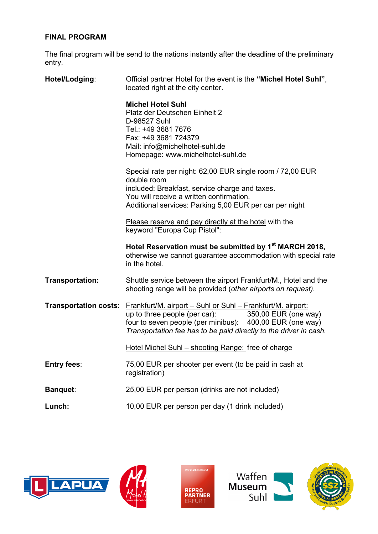#### FINAL PROGRAM

The final program will be send to the nations instantly after the deadline of the preliminary entry.

| Hotel/Lodging:               | Official partner Hotel for the event is the "Michel Hotel Suhl",<br>located right at the city center.                                                                                                                                                 |  |
|------------------------------|-------------------------------------------------------------------------------------------------------------------------------------------------------------------------------------------------------------------------------------------------------|--|
|                              | <b>Michel Hotel Suhl</b><br>Platz der Deutschen Einheit 2<br>D-98527 Suhl<br>Tel.: +49 3681 7676<br>Fax: +49 3681 724379<br>Mail: info@michelhotel-suhl.de<br>Homepage: www.michelhotel-suhl.de                                                       |  |
|                              | Special rate per night: 62,00 EUR single room / 72,00 EUR<br>double room<br>included: Breakfast, service charge and taxes.<br>You will receive a written confirmation.<br>Additional services: Parking 5,00 EUR per car per night                     |  |
|                              | Please reserve and pay directly at the hotel with the<br>keyword "Europa Cup Pistol":                                                                                                                                                                 |  |
|                              |                                                                                                                                                                                                                                                       |  |
|                              | Hotel Reservation must be submitted by 1 <sup>st</sup> MARCH 2018,<br>otherwise we cannot guarantee accommodation with special rate<br>in the hotel.                                                                                                  |  |
| <b>Transportation:</b>       | Shuttle service between the airport Frankfurt/M., Hotel and the<br>shooting range will be provided (other airports on request).                                                                                                                       |  |
| <b>Transportation costs:</b> | Frankfurt/M. airport - Suhl or Suhl - Frankfurt/M. airport:<br>up to three people (per car):<br>350,00 EUR (one way)<br>four to seven people (per minibus): 400,00 EUR (one way)<br>Transportation fee has to be paid directly to the driver in cash. |  |
|                              | Hotel Michel Suhl - shooting Range: free of charge                                                                                                                                                                                                    |  |
| <b>Entry fees:</b>           | 75,00 EUR per shooter per event (to be paid in cash at<br>registration)                                                                                                                                                                               |  |
| <b>Banquet:</b>              | 25,00 EUR per person (drinks are not included)                                                                                                                                                                                                        |  |